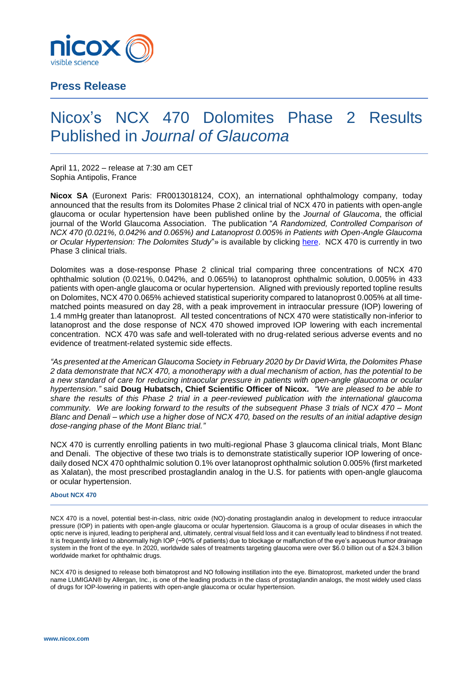

# **Press Release**

# Nicox's NCX 470 Dolomites Phase 2 Results Published in *Journal of Glaucoma*

April 11, 2022 – release at 7:30 am CET Sophia Antipolis, France

**Nicox SA** (Euronext Paris: FR0013018124, COX), an international ophthalmology company, today announced that the results from its Dolomites Phase 2 clinical trial of NCX 470 in patients with open-angle glaucoma or ocular hypertension have been published online by the *Journal of Glaucoma*, the official journal of the World Glaucoma Association. The publication "*A Randomized, Controlled Comparison of NCX 470 (0.021%, 0.042% and 0.065%) and Latanoprost 0.005% in Patients with Open-Angle Glaucoma or Ocular Hypertension: The Dolomites Study*"» is available by clicking [here.](https://journals.lww.com/glaucomajournal/Abstract/9900/A_Randomized,_Controlled_Comparison_of_NCX_470.6.aspx) NCX 470 is currently in two Phase 3 clinical trials.

Dolomites was a dose-response Phase 2 clinical trial comparing three concentrations of NCX 470 ophthalmic solution (0.021%, 0.042%, and 0.065%) to latanoprost ophthalmic solution, 0.005% in 433 patients with open-angle glaucoma or ocular hypertension. Aligned with previously reported topline results on Dolomites, NCX 470 0.065% achieved statistical superiority compared to latanoprost 0.005% at all timematched points measured on day 28, with a peak improvement in intraocular pressure (IOP) lowering of 1.4 mmHg greater than latanoprost. All tested concentrations of NCX 470 were statistically non-inferior to latanoprost and the dose response of NCX 470 showed improved IOP lowering with each incremental concentration. NCX 470 was safe and well-tolerated with no drug-related serious adverse events and no evidence of treatment-related systemic side effects.

*"As presented at the American Glaucoma Society in February 2020 by Dr David Wirta, the Dolomites Phase 2 data demonstrate that NCX 470, a monotherapy with a dual mechanism of action, has the potential to be a new standard of care for reducing intraocular pressure in patients with open-angle glaucoma or ocular hypertension."* said **Doug Hubatsch, Chief Scientific Officer of Nicox.** *"We are pleased to be able to share the results of this Phase 2 trial in a peer-reviewed publication with the international glaucoma community. We are looking forward to the results of the subsequent Phase 3 trials of NCX 470 – Mont Blanc and Denali – which use a higher dose of NCX 470, based on the results of an initial adaptive design dose-ranging phase of the Mont Blanc trial."* 

NCX 470 is currently enrolling patients in two multi-regional Phase 3 glaucoma clinical trials, Mont Blanc and Denali. The objective of these two trials is to demonstrate statistically superior IOP lowering of oncedaily dosed NCX 470 ophthalmic solution 0.1% over latanoprost ophthalmic solution 0.005% (first marketed as Xalatan), the most prescribed prostaglandin analog in the U.S. for patients with open-angle glaucoma or ocular hypertension.

# **About NCX 470**

NCX 470 is a novel, potential best-in-class, nitric oxide (NO)-donating prostaglandin analog in development to reduce intraocular pressure (IOP) in patients with open-angle glaucoma or ocular hypertension. Glaucoma is a group of ocular diseases in which the optic nerve is injured, leading to peripheral and, ultimately, central visual field loss and it can eventually lead to blindness if not treated. It is frequently linked to abnormally high IOP (~90% of patients) due to blockage or malfunction of the eye's aqueous humor drainage system in the front of the eye. In 2020, worldwide sales of treatments targeting glaucoma were over \$6.0 billion out of a \$24.3 billion worldwide market for ophthalmic drugs.

NCX 470 is designed to release both bimatoprost and NO following instillation into the eye. Bimatoprost, marketed under the brand name LUMIGAN® by Allergan, Inc., is one of the leading products in the class of prostaglandin analogs, the most widely used class of drugs for IOP-lowering in patients with open-angle glaucoma or ocular hypertension.